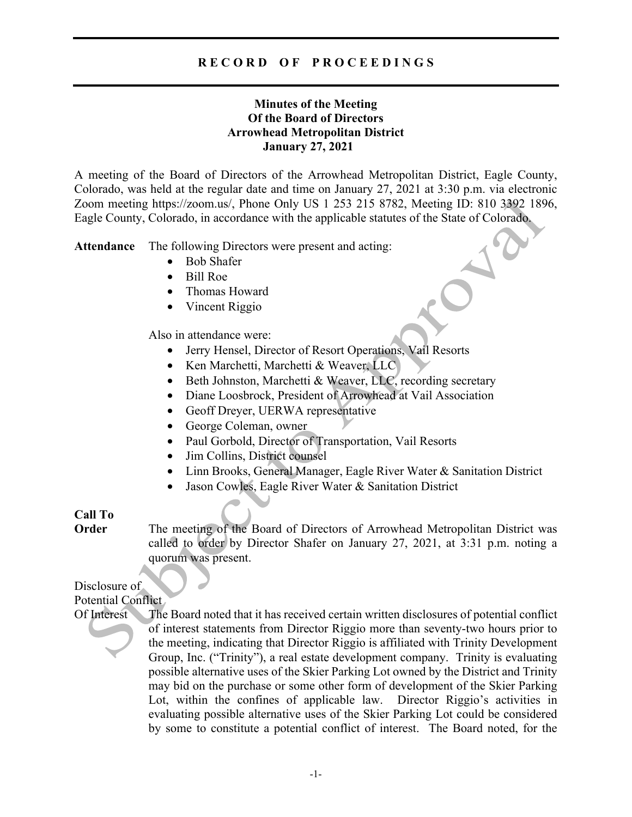# **Minutes of the Meeting Of the Board of Directors Arrowhead Metropolitan District January 27, 2021**

A meeting of the Board of Directors of the Arrowhead Metropolitan District, Eagle County, Colorado, was held at the regular date and time on January 27, 2021 at 3:30 p.m. via electronic Zoom meeting https://zoom.us/, Phone Only US 1 253 215 8782, Meeting ID: 810 3392 1896, Eagle County, Colorado, in accordance with the applicable statutes of the State of Colorado.

**Attendance** The following Directors were present and acting:

- Bob Shafer
- Bill Roe
- Thomas Howard
- Vincent Riggio

Also in attendance were:

- Jerry Hensel, Director of Resort Operations, Vail Resorts
- Ken Marchetti, Marchetti & Weaver, LLC
- Beth Johnston, Marchetti & Weaver, LLC, recording secretary
- Diane Loosbrock, President of Arrowhead at Vail Association
- Geoff Dreyer, UERWA representative
- George Coleman, owner
- Paul Gorbold, Director of Transportation, Vail Resorts
- Jim Collins, District counsel
- Linn Brooks, General Manager, Eagle River Water & Sanitation District
- Jason Cowles, Eagle River Water & Sanitation District

## **Call To**

**Order** The meeting of the Board of Directors of Arrowhead Metropolitan District was called to order by Director Shafer on January 27, 2021, at 3:31 p.m. noting a quorum was present.

# Disclosure of

Potential Conflict

Of Interest The Board noted that it has received certain written disclosures of potential conflict of interest statements from Director Riggio more than seventy-two hours prior to the meeting, indicating that Director Riggio is affiliated with Trinity Development Group, Inc. ("Trinity"), a real estate development company. Trinity is evaluating possible alternative uses of the Skier Parking Lot owned by the District and Trinity may bid on the purchase or some other form of development of the Skier Parking Lot, within the confines of applicable law. Director Riggio's activities in evaluating possible alternative uses of the Skier Parking Lot could be considered by some to constitute a potential conflict of interest. The Board noted, for the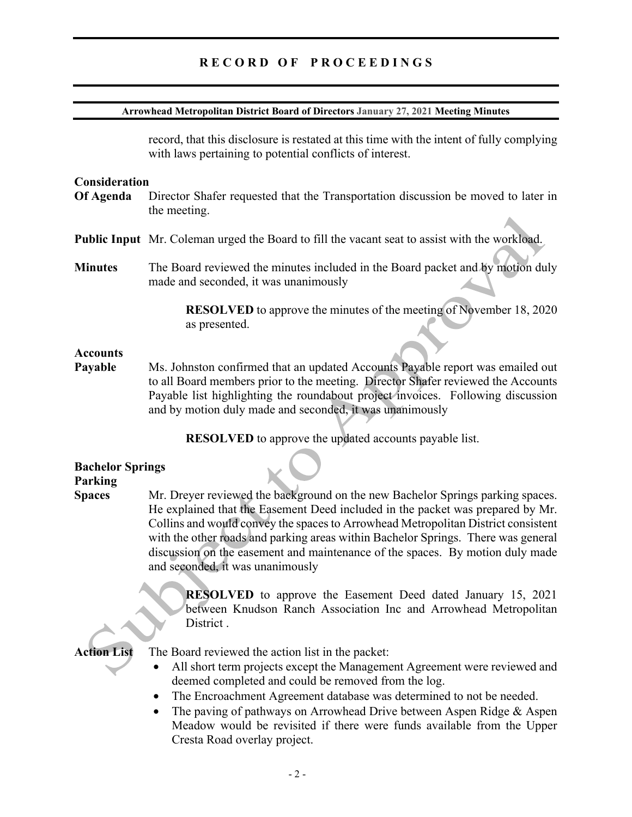#### **Arrowhead Metropolitan District Board of Directors January 27, 2021 Meeting Minutes**

record, that this disclosure is restated at this time with the intent of fully complying with laws pertaining to potential conflicts of interest.

#### **Consideration**

- **Of Agenda** Director Shafer requested that the Transportation discussion be moved to later in the meeting.
- **Public Input** Mr. Coleman urged the Board to fill the vacant seat to assist with the workload.
- **Minutes** The Board reviewed the minutes included in the Board packet and by motion duly made and seconded, it was unanimously

**RESOLVED** to approve the minutes of the meeting of November 18, 2020 as presented.

#### **Accounts**

**Payable** Ms. Johnston confirmed that an updated Accounts Payable report was emailed out to all Board members prior to the meeting.Director Shafer reviewed the Accounts Payable list highlighting the roundabout project invoices. Following discussion and by motion duly made and seconded, it was unanimously

**RESOLVED** to approve the updated accounts payable list.

# **Bachelor Springs Parking**

**Spaces** Mr. Dreyer reviewed the background on the new Bachelor Springs parking spaces. He explained that the Easement Deed included in the packet was prepared by Mr. Collins and would convey the spaces to Arrowhead Metropolitan District consistent with the other roads and parking areas within Bachelor Springs. There was general discussion on the easement and maintenance of the spaces. By motion duly made and seconded, it was unanimously

> **RESOLVED** to approve the Easement Deed dated January 15, 2021 between Knudson Ranch Association Inc and Arrowhead Metropolitan District.

**Action List** The Board reviewed the action list in the packet:

- All short term projects except the Management Agreement were reviewed and deemed completed and could be removed from the log.
- The Encroachment Agreement database was determined to not be needed.
- The paving of pathways on Arrowhead Drive between Aspen Ridge & Aspen Meadow would be revisited if there were funds available from the Upper Cresta Road overlay project.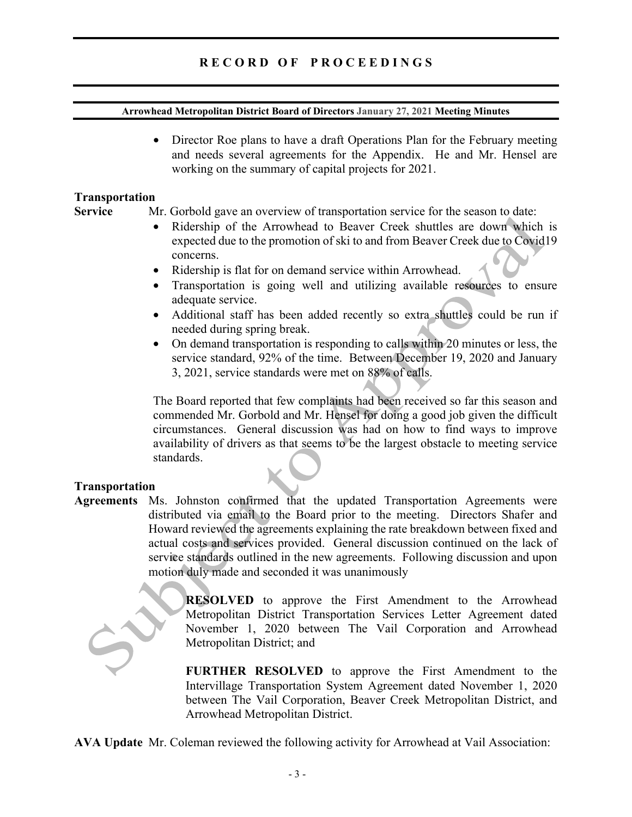#### **Arrowhead Metropolitan District Board of Directors January 27, 2021 Meeting Minutes**

• Director Roe plans to have a draft Operations Plan for the February meeting and needs several agreements for the Appendix. He and Mr. Hensel are working on the summary of capital projects for 2021.

#### **Transportation**

**Service** Mr. Gorbold gave an overview of transportation service for the season to date:

- Ridership of the Arrowhead to Beaver Creek shuttles are down which is expected due to the promotion of ski to and from Beaver Creek due to Covid19 concerns.
- Ridership is flat for on demand service within Arrowhead.
- Transportation is going well and utilizing available resources to ensure adequate service.
- Additional staff has been added recently so extra shuttles could be run if needed during spring break.
- On demand transportation is responding to calls within 20 minutes or less, the service standard, 92% of the time. Between December 19, 2020 and January 3, 2021, service standards were met on 88% of calls.

The Board reported that few complaints had been received so far this season and commended Mr. Gorbold and Mr. Hensel for doing a good job given the difficult circumstances. General discussion was had on how to find ways to improve availability of drivers as that seems to be the largest obstacle to meeting service standards.

# **Transportation**

**Agreements** Ms. Johnston confirmed that the updated Transportation Agreements were distributed via email to the Board prior to the meeting. Directors Shafer and Howard reviewed the agreements explaining the rate breakdown between fixed and actual costs and services provided. General discussion continued on the lack of service standards outlined in the new agreements. Following discussion and upon motion duly made and seconded it was unanimously



**RESOLVED** to approve the First Amendment to the Arrowhead Metropolitan District Transportation Services Letter Agreement dated November 1, 2020 between The Vail Corporation and Arrowhead Metropolitan District; and

**FURTHER RESOLVED** to approve the First Amendment to the Intervillage Transportation System Agreement dated November 1, 2020 between The Vail Corporation, Beaver Creek Metropolitan District, and Arrowhead Metropolitan District.

**AVA Update** Mr. Coleman reviewed the following activity for Arrowhead at Vail Association: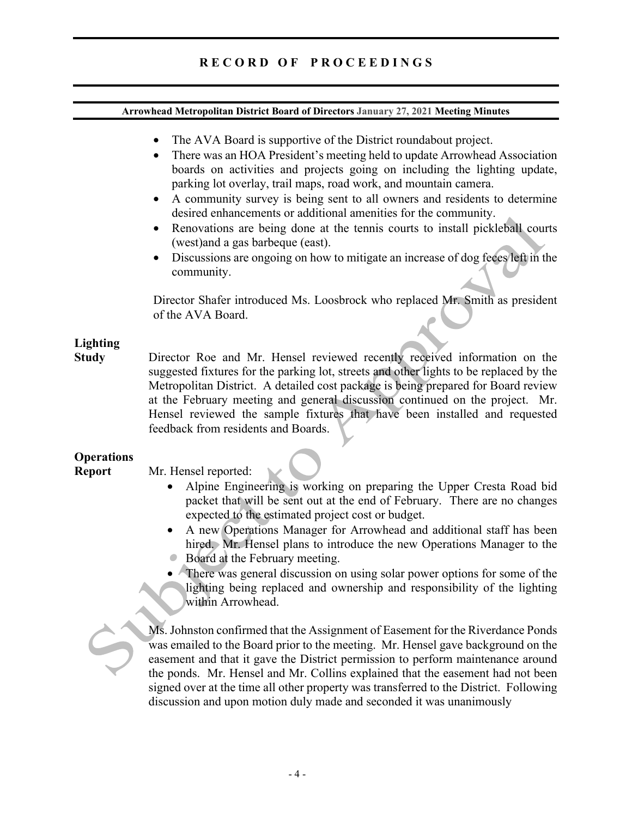#### **Arrowhead Metropolitan District Board of Directors January 27, 2021 Meeting Minutes**

- The AVA Board is supportive of the District roundabout project.
- There was an HOA President's meeting held to update Arrowhead Association boards on activities and projects going on including the lighting update, parking lot overlay, trail maps, road work, and mountain camera.
- A community survey is being sent to all owners and residents to determine desired enhancements or additional amenities for the community.
- Renovations are being done at the tennis courts to install pickleball courts (west)and a gas barbeque (east).
- Discussions are ongoing on how to mitigate an increase of dog feces left in the community.

Director Shafer introduced Ms. Loosbrock who replaced Mr. Smith as president of the AVA Board.

# **Lighting**

**Study** Director Roe and Mr. Hensel reviewed recently received information on the suggested fixtures for the parking lot, streets and other lights to be replaced by the Metropolitan District. A detailed cost package is being prepared for Board review at the February meeting and general discussion continued on the project. Mr. Hensel reviewed the sample fixtures that have been installed and requested feedback from residents and Boards.

# **Operations**

**Report** Mr. Hensel reported:

- Alpine Engineering is working on preparing the Upper Cresta Road bid packet that will be sent out at the end of February. There are no changes expected to the estimated project cost or budget.
- A new Operations Manager for Arrowhead and additional staff has been hired. Mr. Hensel plans to introduce the new Operations Manager to the
- Board at the February meeting.
- There was general discussion on using solar power options for some of the lighting being replaced and ownership and responsibility of the lighting within Arrowhead.

Ms. Johnston confirmed that the Assignment of Easement for the Riverdance Ponds was emailed to the Board prior to the meeting. Mr. Hensel gave background on the easement and that it gave the District permission to perform maintenance around the ponds. Mr. Hensel and Mr. Collins explained that the easement had not been signed over at the time all other property was transferred to the District. Following discussion and upon motion duly made and seconded it was unanimously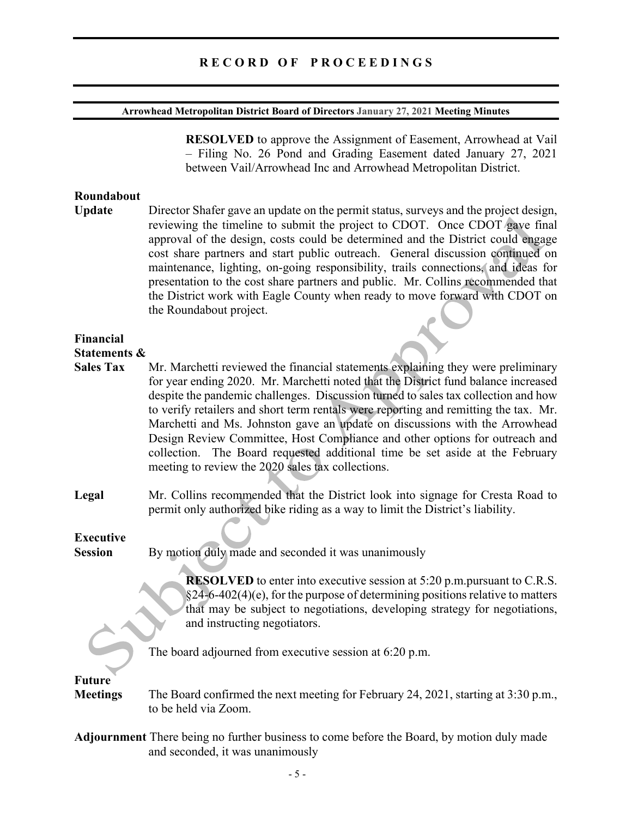#### **Arrowhead Metropolitan District Board of Directors January 27, 2021 Meeting Minutes**

**RESOLVED** to approve the Assignment of Easement, Arrowhead at Vail – Filing No. 26 Pond and Grading Easement dated January 27, 2021 between Vail/Arrowhead Inc and Arrowhead Metropolitan District.

#### **Roundabout**

**Update** Director Shafer gave an update on the permit status, surveys and the project design, reviewing the timeline to submit the project to CDOT. Once CDOT gave final approval of the design, costs could be determined and the District could engage cost share partners and start public outreach. General discussion continued on maintenance, lighting, on-going responsibility, trails connections, and ideas for presentation to the cost share partners and public. Mr. Collins recommended that the District work with Eagle County when ready to move forward with CDOT on the Roundabout project.

## **Financial**

#### **Statements &**

- **Sales Tax** Mr. Marchetti reviewed the financial statements explaining they were preliminary for year ending 2020. Mr. Marchetti noted that the District fund balance increased despite the pandemic challenges. Discussion turned to sales tax collection and how to verify retailers and short term rentals were reporting and remitting the tax. Mr. Marchetti and Ms. Johnston gave an update on discussions with the Arrowhead Design Review Committee, Host Compliance and other options for outreach and collection. The Board requested additional time be set aside at the February meeting to review the 2020 sales tax collections.
- **Legal** Mr. Collins recommended that the District look into signage for Cresta Road to permit only authorized bike riding as a way to limit the District's liability.

# **Executive**

**Session** By motion duly made and seconded it was unanimously

**RESOLVED** to enter into executive session at 5:20 p.m.pursuant to C.R.S.  $§24-6-402(4)$ (e), for the purpose of determining positions relative to matters that may be subject to negotiations, developing strategy for negotiations, and instructing negotiators.

The board adjourned from executive session at 6:20 p.m.

# **Future**

**Meetings** The Board confirmed the next meeting for February 24, 2021, starting at 3:30 p.m., to be held via Zoom.

**Adjournment** There being no further business to come before the Board, by motion duly made and seconded, it was unanimously